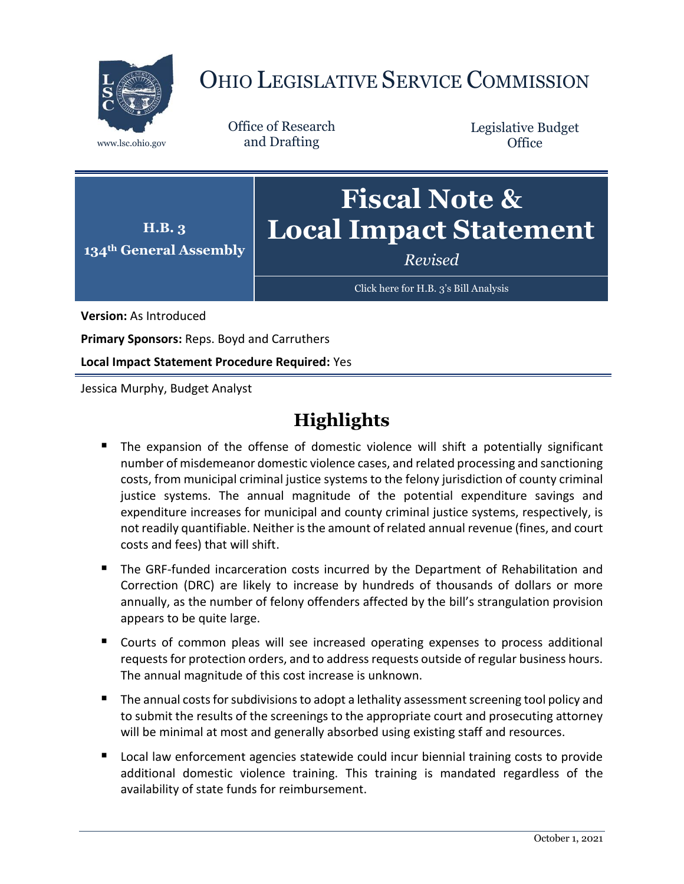

# OHIO LEGISLATIVE SERVICE COMMISSION

Office of Research www.lsc.ohio.gov and Drafting

Legislative Budget **Office** 



[Click here for H.B. 3](https://www.legislature.ohio.gov/legislation/legislation-documents?id=GA134-HB-3)'s Bill Analysis

**Version:** As Introduced

**Primary Sponsors:** Reps. Boyd and Carruthers

**Local Impact Statement Procedure Required:** Yes

Jessica Murphy, Budget Analyst

# **Highlights**

- The expansion of the offense of domestic violence will shift a potentially significant number of misdemeanor domestic violence cases, and related processing and sanctioning costs, from municipal criminal justice systems to the felony jurisdiction of county criminal justice systems. The annual magnitude of the potential expenditure savings and expenditure increases for municipal and county criminal justice systems, respectively, is not readily quantifiable. Neither is the amount of related annual revenue (fines, and court costs and fees) that will shift.
- The GRF-funded incarceration costs incurred by the Department of Rehabilitation and Correction (DRC) are likely to increase by hundreds of thousands of dollars or more annually, as the number of felony offenders affected by the bill's strangulation provision appears to be quite large.
- Courts of common pleas will see increased operating expenses to process additional requests for protection orders, and to address requests outside of regular business hours. The annual magnitude of this cost increase is unknown.
- The annual costs for subdivisions to adopt a lethality assessment screening tool policy and to submit the results of the screenings to the appropriate court and prosecuting attorney will be minimal at most and generally absorbed using existing staff and resources.
- **Local law enforcement agencies statewide could incur biennial training costs to provide** additional domestic violence training. This training is mandated regardless of the availability of state funds for reimbursement.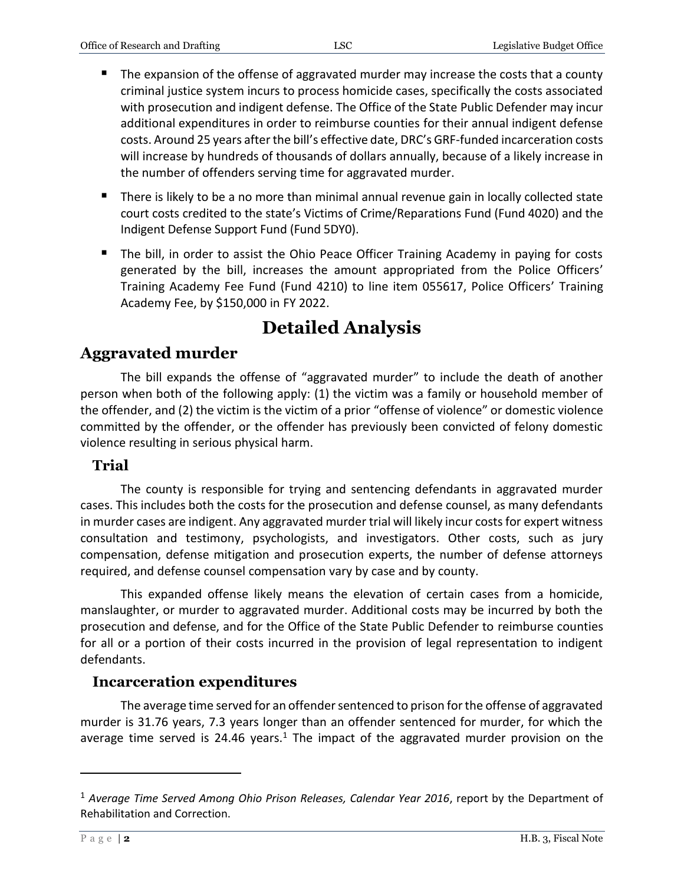- The expansion of the offense of aggravated murder may increase the costs that a county criminal justice system incurs to process homicide cases, specifically the costs associated with prosecution and indigent defense. The Office of the State Public Defender may incur additional expenditures in order to reimburse counties for their annual indigent defense costs. Around 25 years after the bill's effective date, DRC's GRF-funded incarceration costs will increase by hundreds of thousands of dollars annually, because of a likely increase in the number of offenders serving time for aggravated murder.
- There is likely to be a no more than minimal annual revenue gain in locally collected state court costs credited to the state's Victims of Crime/Reparations Fund (Fund 4020) and the Indigent Defense Support Fund (Fund 5DY0).
- The bill, in order to assist the Ohio Peace Officer Training Academy in paying for costs generated by the bill, increases the amount appropriated from the Police Officers' Training Academy Fee Fund (Fund 4210) to line item 055617, Police Officers' Training Academy Fee, by \$150,000 in FY 2022.

# **Detailed Analysis**

# **Aggravated murder**

The bill expands the offense of "aggravated murder" to include the death of another person when both of the following apply: (1) the victim was a family or household member of the offender, and (2) the victim is the victim of a prior "offense of violence" or domestic violence committed by the offender, or the offender has previously been convicted of felony domestic violence resulting in serious physical harm.

#### **Trial**

The county is responsible for trying and sentencing defendants in aggravated murder cases. This includes both the costs for the prosecution and defense counsel, as many defendants in murder cases are indigent. Any aggravated murder trial will likely incur costs for expert witness consultation and testimony, psychologists, and investigators. Other costs, such as jury compensation, defense mitigation and prosecution experts, the number of defense attorneys required, and defense counsel compensation vary by case and by county.

This expanded offense likely means the elevation of certain cases from a homicide, manslaughter, or murder to aggravated murder. Additional costs may be incurred by both the prosecution and defense, and for the Office of the State Public Defender to reimburse counties for all or a portion of their costs incurred in the provision of legal representation to indigent defendants.

#### **Incarceration expenditures**

The average time served for an offender sentenced to prison for the offense of aggravated murder is 31.76 years, 7.3 years longer than an offender sentenced for murder, for which the average time served is 24.46 years.<sup>1</sup> The impact of the aggravated murder provision on the

 $\overline{a}$ 

<sup>1</sup> *Average Time Served Among Ohio Prison Releases, Calendar Year 2016*, report by the Department of Rehabilitation and Correction.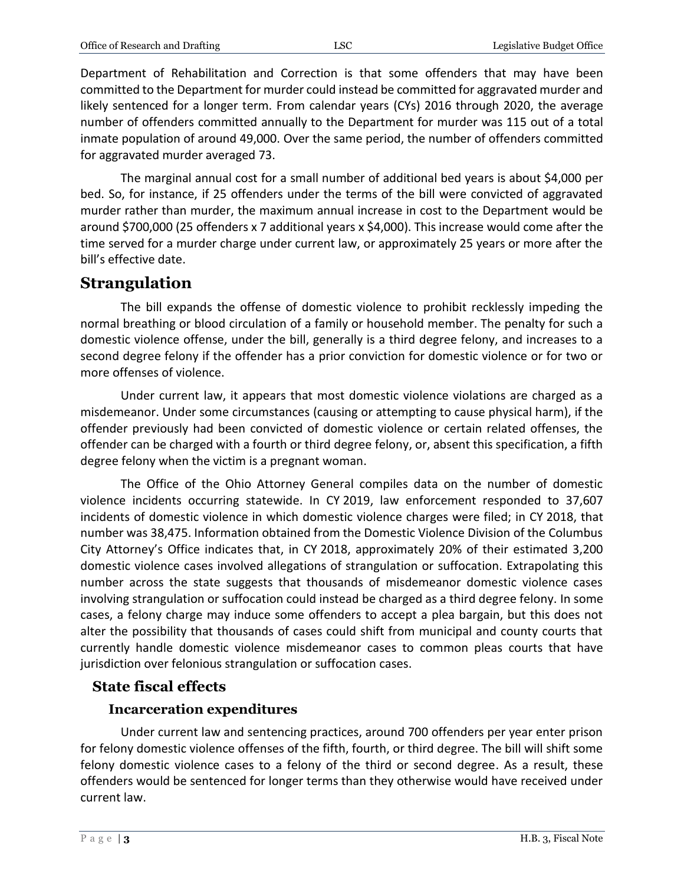Department of Rehabilitation and Correction is that some offenders that may have been committed to the Department for murder could instead be committed for aggravated murder and likely sentenced for a longer term. From calendar years (CYs) 2016 through 2020, the average number of offenders committed annually to the Department for murder was 115 out of a total inmate population of around 49,000. Over the same period, the number of offenders committed for aggravated murder averaged 73.

The marginal annual cost for a small number of additional bed years is about \$4,000 per bed. So, for instance, if 25 offenders under the terms of the bill were convicted of aggravated murder rather than murder, the maximum annual increase in cost to the Department would be around \$700,000 (25 offenders x 7 additional years x \$4,000). This increase would come after the time served for a murder charge under current law, or approximately 25 years or more after the bill's effective date.

# **Strangulation**

The bill expands the offense of domestic violence to prohibit recklessly impeding the normal breathing or blood circulation of a family or household member. The penalty for such a domestic violence offense, under the bill, generally is a third degree felony, and increases to a second degree felony if the offender has a prior conviction for domestic violence or for two or more offenses of violence.

Under current law, it appears that most domestic violence violations are charged as a misdemeanor. Under some circumstances (causing or attempting to cause physical harm), if the offender previously had been convicted of domestic violence or certain related offenses, the offender can be charged with a fourth or third degree felony, or, absent this specification, a fifth degree felony when the victim is a pregnant woman.

The Office of the Ohio Attorney General compiles data on the number of domestic violence incidents occurring statewide. In CY 2019, law enforcement responded to 37,607 incidents of domestic violence in which domestic violence charges were filed; in CY 2018, that number was 38,475. Information obtained from the Domestic Violence Division of the Columbus City Attorney's Office indicates that, in CY 2018, approximately 20% of their estimated 3,200 domestic violence cases involved allegations of strangulation or suffocation. Extrapolating this number across the state suggests that thousands of misdemeanor domestic violence cases involving strangulation or suffocation could instead be charged as a third degree felony. In some cases, a felony charge may induce some offenders to accept a plea bargain, but this does not alter the possibility that thousands of cases could shift from municipal and county courts that currently handle domestic violence misdemeanor cases to common pleas courts that have jurisdiction over felonious strangulation or suffocation cases.

# **State fiscal effects**

#### **Incarceration expenditures**

Under current law and sentencing practices, around 700 offenders per year enter prison for felony domestic violence offenses of the fifth, fourth, or third degree. The bill will shift some felony domestic violence cases to a felony of the third or second degree. As a result, these offenders would be sentenced for longer terms than they otherwise would have received under current law.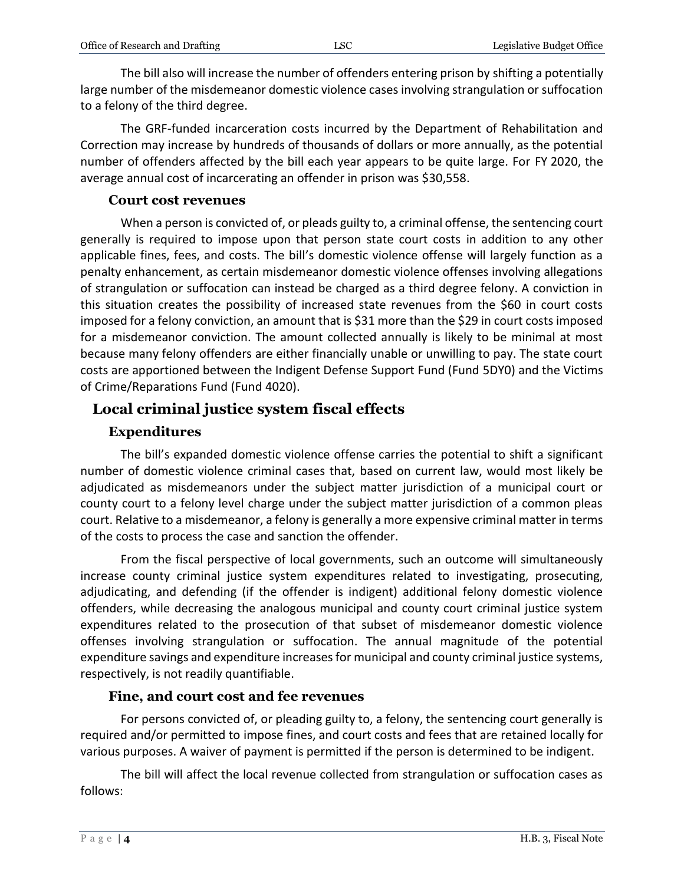The bill also will increase the number of offenders entering prison by shifting a potentially large number of the misdemeanor domestic violence cases involving strangulation or suffocation to a felony of the third degree.

The GRF-funded incarceration costs incurred by the Department of Rehabilitation and Correction may increase by hundreds of thousands of dollars or more annually, as the potential number of offenders affected by the bill each year appears to be quite large. For FY 2020, the average annual cost of incarcerating an offender in prison was \$30,558.

#### **Court cost revenues**

When a person is convicted of, or pleads guilty to, a criminal offense, the sentencing court generally is required to impose upon that person state court costs in addition to any other applicable fines, fees, and costs. The bill's domestic violence offense will largely function as a penalty enhancement, as certain misdemeanor domestic violence offenses involving allegations of strangulation or suffocation can instead be charged as a third degree felony. A conviction in this situation creates the possibility of increased state revenues from the \$60 in court costs imposed for a felony conviction, an amount that is \$31 more than the \$29 in court costs imposed for a misdemeanor conviction. The amount collected annually is likely to be minimal at most because many felony offenders are either financially unable or unwilling to pay. The state court costs are apportioned between the Indigent Defense Support Fund (Fund 5DY0) and the Victims of Crime/Reparations Fund (Fund 4020).

#### **Local criminal justice system fiscal effects**

#### **Expenditures**

The bill's expanded domestic violence offense carries the potential to shift a significant number of domestic violence criminal cases that, based on current law, would most likely be adjudicated as misdemeanors under the subject matter jurisdiction of a municipal court or county court to a felony level charge under the subject matter jurisdiction of a common pleas court. Relative to a misdemeanor, a felony is generally a more expensive criminal matter in terms of the costs to process the case and sanction the offender.

From the fiscal perspective of local governments, such an outcome will simultaneously increase county criminal justice system expenditures related to investigating, prosecuting, adjudicating, and defending (if the offender is indigent) additional felony domestic violence offenders, while decreasing the analogous municipal and county court criminal justice system expenditures related to the prosecution of that subset of misdemeanor domestic violence offenses involving strangulation or suffocation. The annual magnitude of the potential expenditure savings and expenditure increases for municipal and county criminal justice systems, respectively, is not readily quantifiable.

#### **Fine, and court cost and fee revenues**

For persons convicted of, or pleading guilty to, a felony, the sentencing court generally is required and/or permitted to impose fines, and court costs and fees that are retained locally for various purposes. A waiver of payment is permitted if the person is determined to be indigent.

The bill will affect the local revenue collected from strangulation or suffocation cases as follows: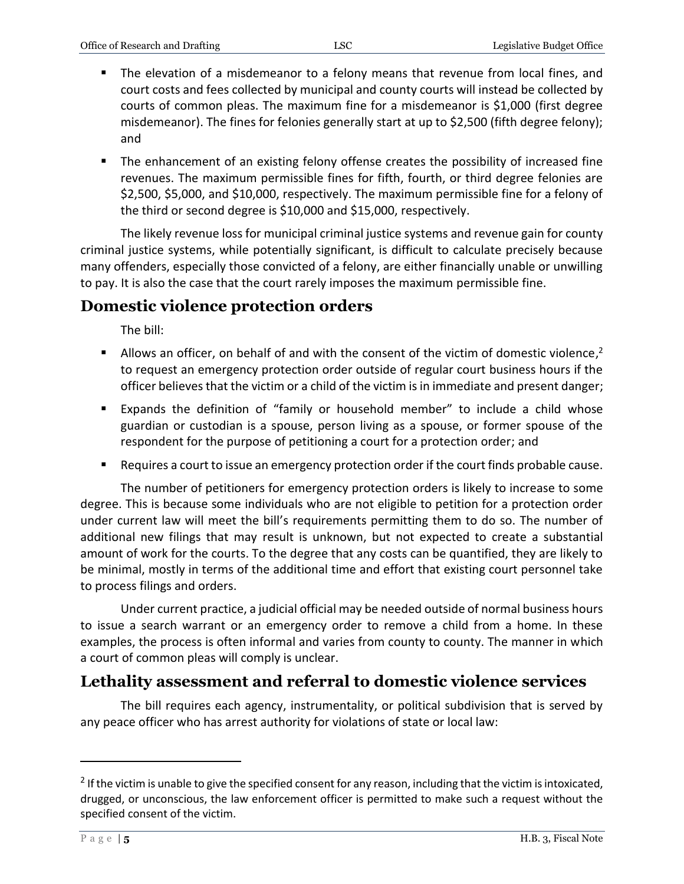- The elevation of a misdemeanor to a felony means that revenue from local fines, and court costs and fees collected by municipal and county courts will instead be collected by courts of common pleas. The maximum fine for a misdemeanor is \$1,000 (first degree misdemeanor). The fines for felonies generally start at up to \$2,500 (fifth degree felony); and
- The enhancement of an existing felony offense creates the possibility of increased fine revenues. The maximum permissible fines for fifth, fourth, or third degree felonies are \$2,500, \$5,000, and \$10,000, respectively. The maximum permissible fine for a felony of the third or second degree is \$10,000 and \$15,000, respectively.

The likely revenue loss for municipal criminal justice systems and revenue gain for county criminal justice systems, while potentially significant, is difficult to calculate precisely because many offenders, especially those convicted of a felony, are either financially unable or unwilling to pay. It is also the case that the court rarely imposes the maximum permissible fine.

# **Domestic violence protection orders**

The bill:

- Allows an officer, on behalf of and with the consent of the victim of domestic violence,<sup>2</sup> to request an emergency protection order outside of regular court business hours if the officer believes that the victim or a child of the victim is in immediate and present danger;
- Expands the definition of "family or household member" to include a child whose guardian or custodian is a spouse, person living as a spouse, or former spouse of the respondent for the purpose of petitioning a court for a protection order; and
- Requires a court to issue an emergency protection order if the court finds probable cause.

The number of petitioners for emergency protection orders is likely to increase to some degree. This is because some individuals who are not eligible to petition for a protection order under current law will meet the bill's requirements permitting them to do so. The number of additional new filings that may result is unknown, but not expected to create a substantial amount of work for the courts. To the degree that any costs can be quantified, they are likely to be minimal, mostly in terms of the additional time and effort that existing court personnel take to process filings and orders.

Under current practice, a judicial official may be needed outside of normal business hours to issue a search warrant or an emergency order to remove a child from a home. In these examples, the process is often informal and varies from county to county. The manner in which a court of common pleas will comply is unclear.

# **Lethality assessment and referral to domestic violence services**

The bill requires each agency, instrumentality, or political subdivision that is served by any peace officer who has arrest authority for violations of state or local law:

 $\overline{a}$ 

 $2$  If the victim is unable to give the specified consent for any reason, including that the victim is intoxicated, drugged, or unconscious, the law enforcement officer is permitted to make such a request without the specified consent of the victim.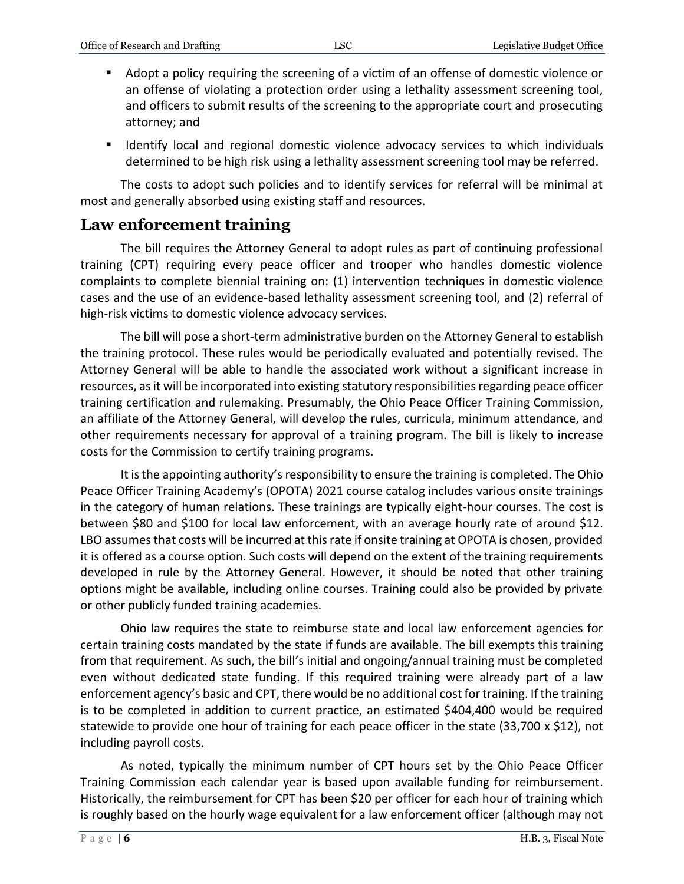- Adopt a policy requiring the screening of a victim of an offense of domestic violence or an offense of violating a protection order using a lethality assessment screening tool, and officers to submit results of the screening to the appropriate court and prosecuting attorney; and
- Identify local and regional domestic violence advocacy services to which individuals determined to be high risk using a lethality assessment screening tool may be referred.

The costs to adopt such policies and to identify services for referral will be minimal at most and generally absorbed using existing staff and resources.

#### **Law enforcement training**

The bill requires the Attorney General to adopt rules as part of continuing professional training (CPT) requiring every peace officer and trooper who handles domestic violence complaints to complete biennial training on: (1) intervention techniques in domestic violence cases and the use of an evidence-based lethality assessment screening tool, and (2) referral of high-risk victims to domestic violence advocacy services.

The bill will pose a short-term administrative burden on the Attorney General to establish the training protocol. These rules would be periodically evaluated and potentially revised. The Attorney General will be able to handle the associated work without a significant increase in resources, as it will be incorporated into existing statutory responsibilities regarding peace officer training certification and rulemaking. Presumably, the Ohio Peace Officer Training Commission, an affiliate of the Attorney General, will develop the rules, curricula, minimum attendance, and other requirements necessary for approval of a training program. The bill is likely to increase costs for the Commission to certify training programs.

It is the appointing authority's responsibility to ensure the training is completed. The Ohio Peace Officer Training Academy's (OPOTA) 2021 course catalog includes various onsite trainings in the category of human relations. These trainings are typically eight-hour courses. The cost is between \$80 and \$100 for local law enforcement, with an average hourly rate of around \$12. LBO assumes that costs will be incurred at this rate if onsite training at OPOTA is chosen, provided it is offered as a course option. Such costs will depend on the extent of the training requirements developed in rule by the Attorney General. However, it should be noted that other training options might be available, including online courses. Training could also be provided by private or other publicly funded training academies.

Ohio law requires the state to reimburse state and local law enforcement agencies for certain training costs mandated by the state if funds are available. The bill exempts this training from that requirement. As such, the bill's initial and ongoing/annual training must be completed even without dedicated state funding. If this required training were already part of a law enforcement agency's basic and CPT, there would be no additional cost for training. If the training is to be completed in addition to current practice, an estimated \$404,400 would be required statewide to provide one hour of training for each peace officer in the state (33,700 x \$12), not including payroll costs.

As noted, typically the minimum number of CPT hours set by the Ohio Peace Officer Training Commission each calendar year is based upon available funding for reimbursement. Historically, the reimbursement for CPT has been \$20 per officer for each hour of training which is roughly based on the hourly wage equivalent for a law enforcement officer (although may not